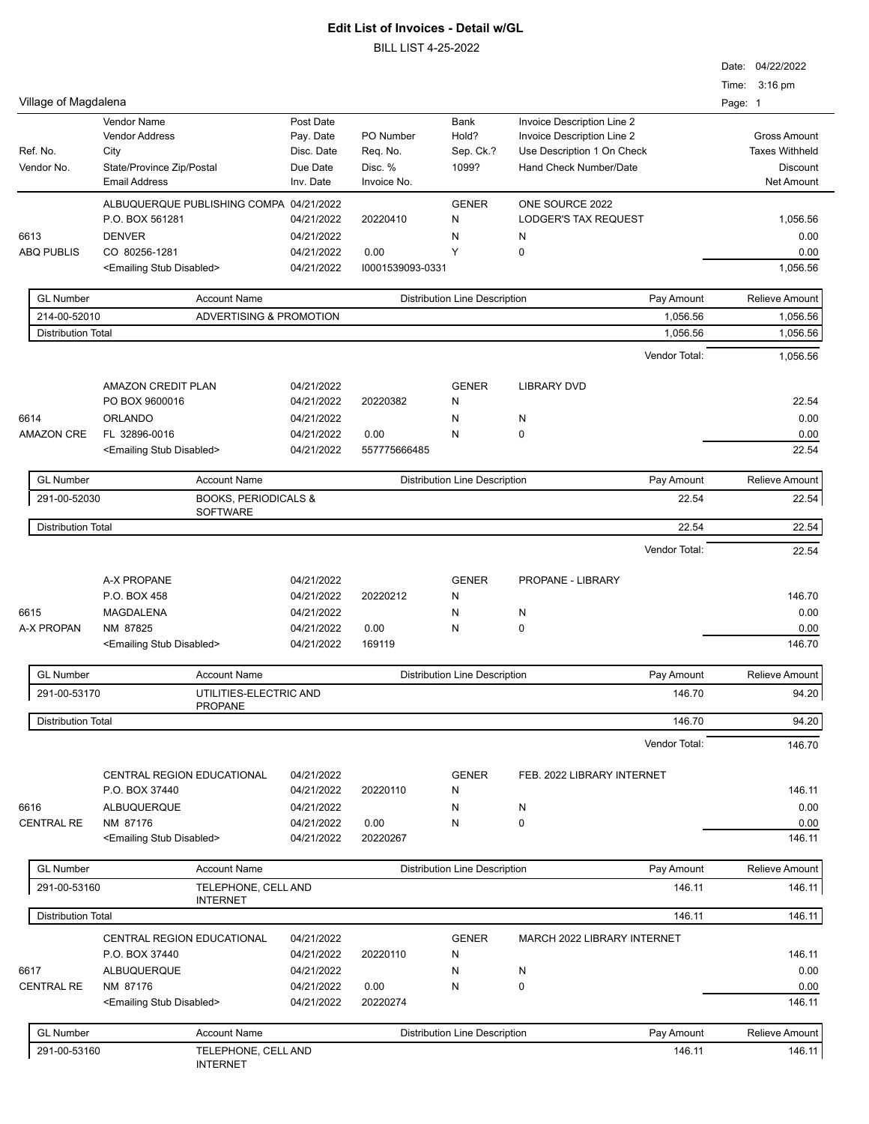|                                                          |                                                    |                         |                  |                                      |                             | Date: 04/22/2022<br>Time: 3:16 pm |
|----------------------------------------------------------|----------------------------------------------------|-------------------------|------------------|--------------------------------------|-----------------------------|-----------------------------------|
| Village of Magdalena                                     |                                                    |                         |                  |                                      |                             | Page: 1                           |
|                                                          | Vendor Name                                        | Post Date               |                  | Bank                                 | Invoice Description Line 2  |                                   |
|                                                          | <b>Vendor Address</b>                              | Pay. Date               | PO Number        | Hold?                                | Invoice Description Line 2  | <b>Gross Amount</b>               |
| Ref. No.                                                 | City                                               | Disc. Date              | Req. No.         | Sep. Ck.?                            | Use Description 1 On Check  | <b>Taxes Withheld</b>             |
| Vendor No.                                               | State/Province Zip/Postal                          | Due Date                | Disc. %          | 1099?                                | Hand Check Number/Date      | Discount                          |
|                                                          | <b>Email Address</b>                               | Inv. Date               | Invoice No.      |                                      |                             | Net Amount                        |
|                                                          | ALBUQUERQUE PUBLISHING COMPA 04/21/2022            |                         |                  | <b>GENER</b>                         | ONE SOURCE 2022             |                                   |
|                                                          | P.O. BOX 561281                                    | 04/21/2022              | 20220410         | N                                    | <b>LODGER'S TAX REQUEST</b> | 1,056.56                          |
| 6613                                                     | <b>DENVER</b>                                      | 04/21/2022              |                  | N                                    | N                           | 0.00                              |
| <b>ABQ PUBLIS</b>                                        | CO 80256-1281                                      | 04/21/2022              | 0.00             | Y                                    | $\mathbf 0$                 | 0.00                              |
|                                                          | <emailing disabled="" stub=""></emailing>          | 04/21/2022              | 10001539093-0331 |                                      |                             | 1,056.56                          |
| <b>GL Number</b>                                         | <b>Account Name</b>                                |                         |                  | <b>Distribution Line Description</b> | Pay Amount                  | <b>Relieve Amount</b>             |
| 214-00-52010                                             |                                                    | ADVERTISING & PROMOTION |                  |                                      | 1,056.56                    | 1,056.56                          |
| <b>Distribution Total</b>                                |                                                    |                         |                  |                                      | 1,056.56                    | 1,056.56                          |
|                                                          |                                                    |                         |                  |                                      | Vendor Total:               | 1,056.56                          |
|                                                          |                                                    |                         |                  |                                      |                             |                                   |
|                                                          | <b>AMAZON CREDIT PLAN</b>                          | 04/21/2022              |                  | <b>GENER</b>                         | <b>LIBRARY DVD</b>          |                                   |
|                                                          | PO BOX 9600016                                     | 04/21/2022              | 20220382         | N                                    |                             | 22.54                             |
| 6614                                                     | ORLANDO                                            | 04/21/2022              |                  | N                                    | N                           | 0.00                              |
| <b>AMAZON CRE</b>                                        | FL 32896-0016                                      | 04/21/2022              | 0.00             | N                                    | 0                           | 0.00                              |
|                                                          | <emailing disabled="" stub=""></emailing>          | 04/21/2022              | 557775666485     |                                      |                             | 22.54                             |
| <b>GL Number</b>                                         | <b>Account Name</b>                                |                         |                  | <b>Distribution Line Description</b> | Pay Amount                  | <b>Relieve Amount</b>             |
| 291-00-52030                                             | <b>BOOKS, PERIODICALS &amp;</b><br><b>SOFTWARE</b> |                         |                  |                                      | 22.54                       | 22.54                             |
| <b>Distribution Total</b>                                |                                                    |                         |                  | 22.54                                | 22.54                       |                                   |
|                                                          |                                                    |                         |                  |                                      | Vendor Total:               | 22.54                             |
|                                                          |                                                    |                         |                  |                                      |                             |                                   |
|                                                          | A-X PROPANE                                        | 04/21/2022              |                  | <b>GENER</b>                         | PROPANE - LIBRARY           |                                   |
|                                                          | P.O. BOX 458                                       | 04/21/2022              | 20220212         | N                                    |                             | 146.70                            |
| 6615                                                     | MAGDALENA                                          | 04/21/2022              |                  | N                                    | N                           | 0.00                              |
| A-X PROPAN                                               | NM 87825                                           | 04/21/2022              | 0.00             | N                                    | 0                           | 0.00                              |
|                                                          | <emailing disabled="" stub=""></emailing>          | 04/21/2022              | 169119           |                                      |                             | 146.70                            |
| <b>GL Number</b>                                         | <b>Account Name</b>                                |                         |                  | <b>Distribution Line Description</b> | Pay Amount                  | <b>Relieve Amount</b>             |
| 291-00-53170<br>UTILITIES-ELECTRIC AND<br><b>PROPANE</b> |                                                    |                         |                  | 146.70                               | 94.20                       |                                   |
| <b>Distribution Total</b>                                |                                                    |                         |                  |                                      | 146.70                      | 94.20                             |
|                                                          |                                                    |                         |                  |                                      | Vendor Total:               | 146.70                            |
|                                                          |                                                    |                         |                  |                                      |                             |                                   |
|                                                          | CENTRAL REGION EDUCATIONAL                         | 04/21/2022              |                  | <b>GENER</b>                         | FEB. 2022 LIBRARY INTERNET  |                                   |
|                                                          | P.O. BOX 37440                                     | 04/21/2022              | 20220110         | N                                    |                             | 146.11                            |
| 6616                                                     | ALBUQUERQUE                                        | 04/21/2022              |                  | N                                    | N                           | 0.00                              |
| <b>CENTRAL RE</b>                                        | NM 87176                                           | 04/21/2022              | 0.00             | N                                    | 0                           | 0.00                              |
|                                                          | <emailing disabled="" stub=""></emailing>          | 04/21/2022              | 20220267         |                                      |                             | 146.11                            |
| <b>GL Number</b>                                         | <b>Account Name</b>                                |                         |                  | <b>Distribution Line Description</b> | Pay Amount                  | Relieve Amount                    |
| 291-00-53160                                             | TELEPHONE, CELL AND<br><b>INTERNET</b>             |                         |                  |                                      | 146.11                      | 146.11                            |
| <b>Distribution Total</b>                                |                                                    |                         |                  |                                      | 146.11                      | 146.11                            |
|                                                          | <b>CENTRAL REGION EDUCATIONAL</b>                  | 04/21/2022              |                  | <b>GENER</b>                         | MARCH 2022 LIBRARY INTERNET |                                   |
|                                                          | P.O. BOX 37440                                     | 04/21/2022              | 20220110         | N                                    |                             | 146.11                            |
| 6617                                                     | ALBUQUERQUE                                        | 04/21/2022              |                  | N                                    | N                           | 0.00                              |
| <b>CENTRAL RE</b>                                        | NM 87176                                           | 04/21/2022              | 0.00             | N                                    | 0                           | 0.00                              |
|                                                          | <emailing disabled="" stub=""></emailing>          | 04/21/2022              | 20220274         |                                      |                             | 146.11                            |
| <b>GL Number</b>                                         | <b>Account Name</b>                                |                         |                  | <b>Distribution Line Description</b> | Pay Amount                  | Relieve Amount                    |
| 291-00-53160                                             | TELEPHONE, CELL AND                                |                         |                  |                                      | 146.11                      | 146.11                            |
|                                                          | <b>INTERNET</b>                                    |                         |                  |                                      |                             |                                   |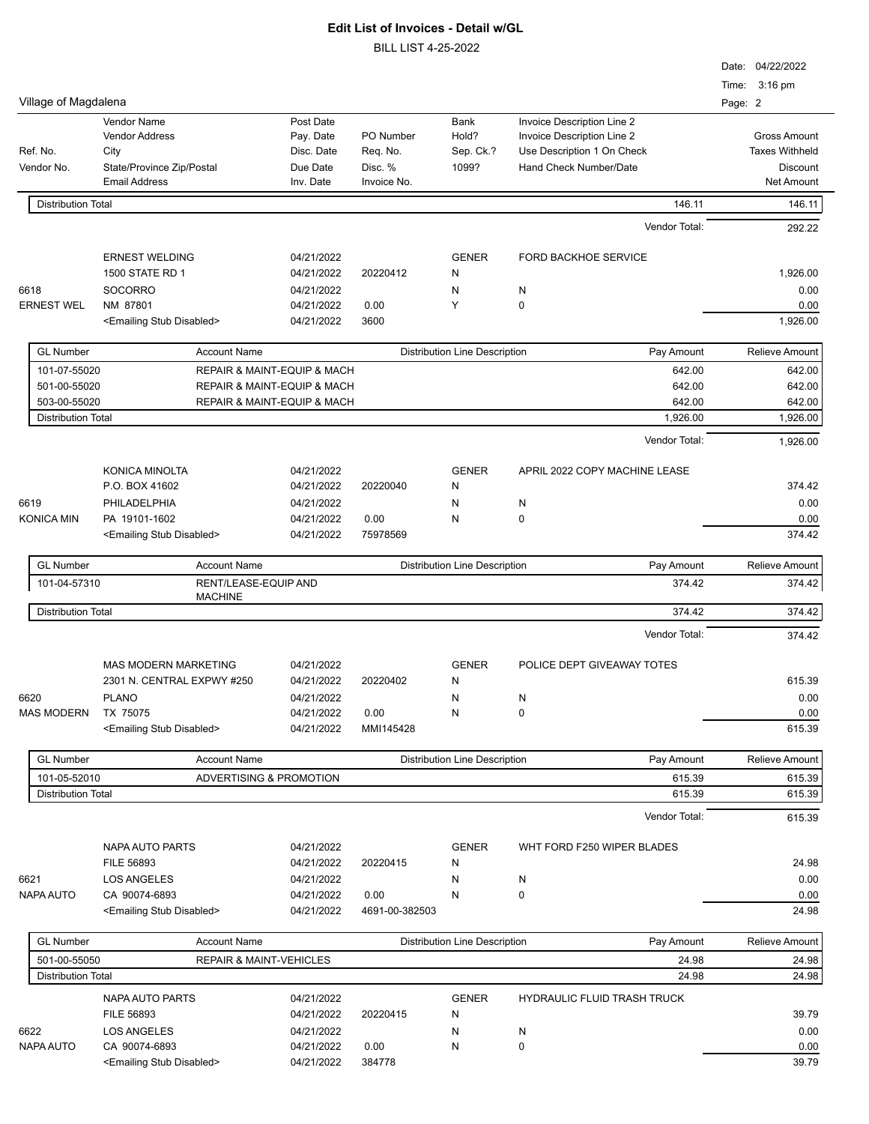|                           |                                                                                                   |                                                               |                                                 |                                      |                                                                                                                  | Date: 04/22/2022<br>Time: 3:16 pm                                                    |
|---------------------------|---------------------------------------------------------------------------------------------------|---------------------------------------------------------------|-------------------------------------------------|--------------------------------------|------------------------------------------------------------------------------------------------------------------|--------------------------------------------------------------------------------------|
| Village of Magdalena      |                                                                                                   |                                                               |                                                 |                                      |                                                                                                                  | Page: 2                                                                              |
| Ref. No.<br>Vendor No.    | Vendor Name<br><b>Vendor Address</b><br>City<br>State/Province Zip/Postal<br><b>Email Address</b> | Post Date<br>Pay. Date<br>Disc. Date<br>Due Date<br>Inv. Date | PO Number<br>Req. No.<br>Disc. %<br>Invoice No. | Bank<br>Hold?<br>Sep. Ck.?<br>1099?  | Invoice Description Line 2<br>Invoice Description Line 2<br>Use Description 1 On Check<br>Hand Check Number/Date | <b>Gross Amount</b><br><b>Taxes Withheld</b><br><b>Discount</b><br><b>Net Amount</b> |
| <b>Distribution Total</b> |                                                                                                   |                                                               |                                                 |                                      | 146.11                                                                                                           | 146.11                                                                               |
|                           |                                                                                                   |                                                               |                                                 |                                      | Vendor Total:                                                                                                    | 292.22                                                                               |
|                           | <b>ERNEST WELDING</b>                                                                             | 04/21/2022                                                    |                                                 | <b>GENER</b>                         | <b>FORD BACKHOE SERVICE</b>                                                                                      |                                                                                      |
|                           | 1500 STATE RD 1                                                                                   | 04/21/2022                                                    | 20220412                                        | N                                    |                                                                                                                  | 1,926.00                                                                             |
| 6618                      | <b>SOCORRO</b>                                                                                    | 04/21/2022                                                    |                                                 | N                                    | N                                                                                                                | 0.00                                                                                 |
| <b>ERNEST WEL</b>         | NM 87801                                                                                          | 04/21/2022                                                    | 0.00                                            | Υ                                    | $\mathbf 0$                                                                                                      | 0.00                                                                                 |
|                           | <emailing disabled="" stub=""></emailing>                                                         | 04/21/2022                                                    | 3600                                            | 1,926.00                             |                                                                                                                  |                                                                                      |
| <b>GL Number</b>          | <b>Account Name</b>                                                                               |                                                               |                                                 | <b>Distribution Line Description</b> | Pay Amount                                                                                                       | <b>Relieve Amount</b>                                                                |
| 101-07-55020              |                                                                                                   | <b>REPAIR &amp; MAINT-EQUIP &amp; MACH</b>                    |                                                 |                                      | 642.00                                                                                                           | 642.00                                                                               |
| 501-00-55020              |                                                                                                   | REPAIR & MAINT-EQUIP & MACH                                   |                                                 |                                      | 642.00                                                                                                           | 642.00                                                                               |
| 503-00-55020              |                                                                                                   | REPAIR & MAINT-EQUIP & MACH                                   |                                                 |                                      | 642.00                                                                                                           | 642.00                                                                               |
| <b>Distribution Total</b> |                                                                                                   |                                                               |                                                 |                                      | 1,926.00                                                                                                         | 1,926.00                                                                             |
|                           |                                                                                                   |                                                               |                                                 |                                      | Vendor Total:                                                                                                    | 1,926.00                                                                             |
|                           | <b>KONICA MINOLTA</b>                                                                             | 04/21/2022                                                    |                                                 | <b>GENER</b>                         | APRIL 2022 COPY MACHINE LEASE                                                                                    |                                                                                      |
|                           | P.O. BOX 41602                                                                                    | 04/21/2022                                                    | 20220040                                        | N                                    |                                                                                                                  | 374.42                                                                               |
| 6619                      | PHILADELPHIA                                                                                      | 04/21/2022                                                    |                                                 | N                                    | N                                                                                                                | 0.00                                                                                 |
| <b>KONICA MIN</b>         | PA 19101-1602                                                                                     | 04/21/2022                                                    | 0.00                                            | Ν                                    | 0                                                                                                                | 0.00                                                                                 |
|                           | <emailing disabled="" stub=""></emailing>                                                         | 04/21/2022                                                    | 75978569                                        |                                      |                                                                                                                  | 374.42                                                                               |
| <b>GL Number</b>          | <b>Account Name</b>                                                                               |                                                               |                                                 | <b>Distribution Line Description</b> | Pay Amount                                                                                                       | <b>Relieve Amount</b>                                                                |
| 101-04-57310              | RENT/LEASE-EQUIP AND                                                                              |                                                               |                                                 |                                      | 374.42                                                                                                           | 374.42                                                                               |
| <b>Distribution Total</b> | <b>MACHINE</b>                                                                                    |                                                               |                                                 |                                      | 374.42                                                                                                           | 374.42                                                                               |
|                           |                                                                                                   |                                                               |                                                 |                                      | Vendor Total:                                                                                                    | 374.42                                                                               |
|                           | <b>MAS MODERN MARKETING</b>                                                                       | 04/21/2022                                                    |                                                 | <b>GENER</b>                         | POLICE DEPT GIVEAWAY TOTES                                                                                       |                                                                                      |
|                           | 2301 N. CENTRAL EXPWY #250                                                                        | 04/21/2022                                                    | 20220402                                        | N                                    |                                                                                                                  | 615.39                                                                               |
| 6620                      | PLANO                                                                                             | 04/21/2022                                                    |                                                 | Ν                                    | N                                                                                                                | 0.00                                                                                 |
| <b>MAS MODERN</b>         | TX 75075                                                                                          | 04/21/2022                                                    | 0.00                                            | N                                    | 0                                                                                                                | 0.00                                                                                 |
|                           | <emailing disabled="" stub=""></emailing>                                                         | 04/21/2022                                                    | MMI145428                                       |                                      |                                                                                                                  | 615.39                                                                               |
| <b>GL Number</b>          | <b>Account Name</b>                                                                               |                                                               |                                                 | <b>Distribution Line Description</b> | Pay Amount                                                                                                       | <b>Relieve Amount</b>                                                                |
| 101-05-52010              | ADVERTISING & PROMOTION                                                                           |                                                               |                                                 |                                      | 615.39                                                                                                           | 615.39                                                                               |
| <b>Distribution Total</b> |                                                                                                   |                                                               |                                                 |                                      | 615.39                                                                                                           | 615.39                                                                               |
|                           |                                                                                                   |                                                               |                                                 |                                      | Vendor Total:                                                                                                    | 615.39                                                                               |
|                           | NAPA AUTO PARTS                                                                                   | 04/21/2022                                                    |                                                 | <b>GENER</b>                         | WHT FORD F250 WIPER BLADES                                                                                       |                                                                                      |
|                           | FILE 56893                                                                                        | 04/21/2022                                                    | 20220415                                        | N                                    |                                                                                                                  | 24.98                                                                                |
| 6621                      | <b>LOS ANGELES</b>                                                                                | 04/21/2022                                                    |                                                 | N                                    | N                                                                                                                | 0.00                                                                                 |
| NAPA AUTO                 | CA 90074-6893                                                                                     | 04/21/2022                                                    | 0.00                                            | N                                    | 0                                                                                                                | 0.00                                                                                 |
|                           | <emailing disabled="" stub=""></emailing>                                                         | 04/21/2022                                                    | 4691-00-382503                                  |                                      |                                                                                                                  | 24.98                                                                                |
| <b>GL Number</b>          | <b>Account Name</b>                                                                               |                                                               |                                                 | <b>Distribution Line Description</b> | Pay Amount                                                                                                       | Relieve Amount                                                                       |
| 501-00-55050              | <b>REPAIR &amp; MAINT-VEHICLES</b><br>24.98                                                       |                                                               |                                                 |                                      |                                                                                                                  | 24.98                                                                                |
| <b>Distribution Total</b> |                                                                                                   |                                                               |                                                 |                                      | 24.98                                                                                                            | 24.98                                                                                |
|                           | NAPA AUTO PARTS                                                                                   | 04/21/2022                                                    |                                                 | <b>GENER</b>                         | <b>HYDRAULIC FLUID TRASH TRUCK</b>                                                                               |                                                                                      |
|                           | FILE 56893                                                                                        | 04/21/2022                                                    | 20220415                                        | N                                    |                                                                                                                  | 39.79                                                                                |
| 6622                      | <b>LOS ANGELES</b>                                                                                | 04/21/2022                                                    |                                                 | N                                    | N                                                                                                                | 0.00                                                                                 |
| NAPA AUTO                 | CA 90074-6893                                                                                     | 04/21/2022                                                    | 0.00                                            | Ν                                    | 0                                                                                                                | 0.00                                                                                 |
|                           | <emailing disabled="" stub=""></emailing>                                                         | 04/21/2022                                                    | 384778                                          |                                      |                                                                                                                  | 39.79                                                                                |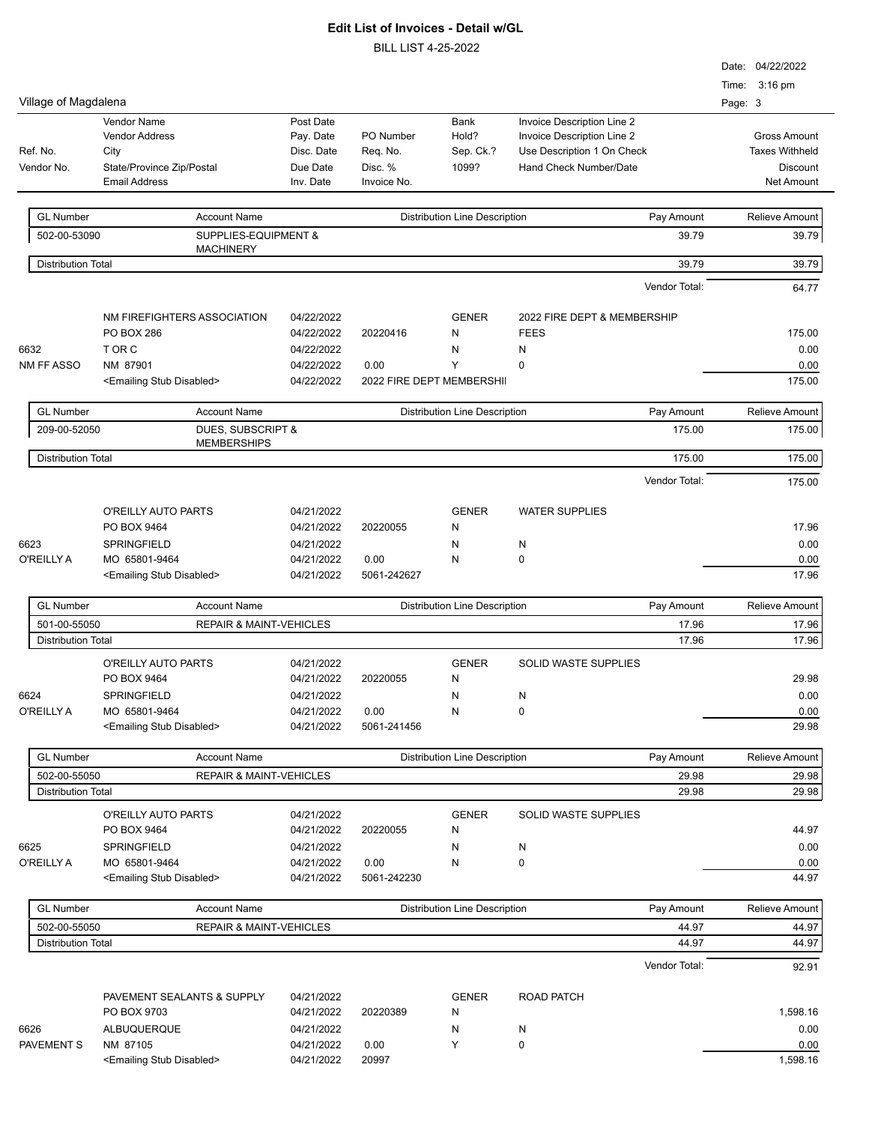|                                           |                                                     |                          |                           |                                      |                             | Date: 04/22/2022      |
|-------------------------------------------|-----------------------------------------------------|--------------------------|---------------------------|--------------------------------------|-----------------------------|-----------------------|
|                                           |                                                     |                          |                           |                                      |                             | Time: 3:16 pm         |
| Village of Magdalena                      |                                                     |                          |                           |                                      |                             | Page: 3               |
|                                           | Vendor Name                                         | Post Date                |                           | Bank                                 | Invoice Description Line 2  |                       |
|                                           | <b>Vendor Address</b>                               | Pay. Date                | PO Number                 | Hold?                                | Invoice Description Line 2  | <b>Gross Amount</b>   |
| Ref. No.                                  | City                                                | Disc. Date               | Req. No.                  | Sep. Ck.?                            | Use Description 1 On Check  | <b>Taxes Withheld</b> |
| Vendor No.                                | State/Province Zip/Postal                           | Due Date                 | Disc. %                   | 1099?                                | Hand Check Number/Date      | Discount              |
|                                           | <b>Email Address</b>                                | Inv. Date                | Invoice No.               |                                      |                             | <b>Net Amount</b>     |
|                                           |                                                     |                          |                           |                                      |                             |                       |
| <b>GL Number</b>                          | <b>Account Name</b>                                 |                          |                           | <b>Distribution Line Description</b> | Pay Amount                  | <b>Relieve Amount</b> |
| 502-00-53090                              | <b>SUPPLIES-EQUIPMENT &amp;</b><br><b>MACHINERY</b> |                          |                           |                                      | 39.79                       | 39.79                 |
| <b>Distribution Total</b>                 |                                                     |                          |                           |                                      | 39.79                       | 39.79                 |
|                                           |                                                     |                          |                           |                                      | Vendor Total:               | 64.77                 |
|                                           | NM FIREFIGHTERS ASSOCIATION                         | 04/22/2022               |                           | <b>GENER</b>                         | 2022 FIRE DEPT & MEMBERSHIP |                       |
|                                           | <b>PO BOX 286</b>                                   | 04/22/2022               | 20220416                  | N                                    | <b>FEES</b>                 | 175.00                |
| 6632                                      | T OR C                                              | 04/22/2022               |                           | N                                    | N                           | 0.00                  |
| NM FF ASSO                                | NM 87901                                            | 04/22/2022               | 0.00                      | Y                                    | 0                           | 0.00                  |
|                                           | <emailing disabled="" stub=""></emailing>           | 04/22/2022               | 2022 FIRE DEPT MEMBERSHII |                                      |                             | 175.00                |
| <b>GL Number</b>                          | <b>Account Name</b>                                 |                          |                           | <b>Distribution Line Description</b> | Pay Amount                  | <b>Relieve Amount</b> |
| 209-00-52050                              | DUES, SUBSCRIPT &<br><b>MEMBERSHIPS</b>             |                          |                           |                                      | 175.00                      | 175.00                |
| <b>Distribution Total</b>                 |                                                     |                          |                           |                                      | 175.00                      | 175.00                |
|                                           |                                                     |                          |                           |                                      | Vendor Total:               | 175.00                |
|                                           | O'REILLY AUTO PARTS                                 | 04/21/2022               |                           | <b>GENER</b>                         | <b>WATER SUPPLIES</b>       |                       |
|                                           | PO BOX 9464                                         | 04/21/2022               | 20220055                  | N                                    |                             | 17.96                 |
| 6623                                      | SPRINGFIELD                                         | 04/21/2022               |                           | N                                    | N                           | 0.00                  |
| O'REILLY A                                | MO 65801-9464                                       | 04/21/2022               | 0.00                      | N                                    | 0                           | 0.00                  |
|                                           | <emailing disabled="" stub=""></emailing>           | 04/21/2022               | 5061-242627               |                                      |                             | 17.96                 |
| <b>GL Number</b>                          | <b>Account Name</b>                                 |                          |                           | <b>Distribution Line Description</b> | Pay Amount                  | <b>Relieve Amount</b> |
| 501-00-55050                              | <b>REPAIR &amp; MAINT-VEHICLES</b>                  |                          |                           |                                      | 17.96                       | 17.96                 |
| <b>Distribution Total</b>                 |                                                     |                          |                           |                                      | 17.96                       | 17.96                 |
|                                           | O'REILLY AUTO PARTS                                 | 04/21/2022               |                           | <b>GENER</b>                         | <b>SOLID WASTE SUPPLIES</b> |                       |
|                                           | PO BOX 9464                                         | 04/21/2022               | 20220055                  | N                                    |                             | 29.98                 |
|                                           | SPRINGFIELD                                         |                          |                           |                                      |                             | 0.00                  |
| 6624<br>O'REILLY A                        | MO 65801-9464                                       | 04/21/2022               | 0.00                      | N<br>N                               | N<br>0                      |                       |
|                                           | <emailing disabled="" stub=""></emailing>           | 04/21/2022<br>04/21/2022 | 5061-241456               |                                      |                             | 0.00<br>29.98         |
|                                           |                                                     |                          |                           |                                      |                             |                       |
| <b>GL Number</b>                          | <b>Account Name</b>                                 |                          |                           | <b>Distribution Line Description</b> | Pay Amount                  | Relieve Amount        |
| 502-00-55050<br><b>Distribution Total</b> | <b>REPAIR &amp; MAINT-VEHICLES</b>                  |                          |                           |                                      | 29.98<br>29.98              | 29.98<br>29.98        |
|                                           |                                                     |                          |                           |                                      |                             |                       |
|                                           | O'REILLY AUTO PARTS                                 | 04/21/2022               |                           | <b>GENER</b>                         | <b>SOLID WASTE SUPPLIES</b> |                       |
|                                           | PO BOX 9464                                         | 04/21/2022               | 20220055                  | N                                    |                             | 44.97                 |
| 6625                                      | SPRINGFIELD                                         | 04/21/2022               |                           | N                                    | N                           | 0.00                  |
| O'REILLY A                                | MO 65801-9464                                       | 04/21/2022               | 0.00                      | N                                    | 0                           | 0.00                  |
|                                           | <emailing disabled="" stub=""></emailing>           | 04/21/2022               | 5061-242230               |                                      |                             | 44.97                 |
| <b>GL Number</b>                          | <b>Account Name</b>                                 |                          |                           | <b>Distribution Line Description</b> | Pay Amount                  | Relieve Amount        |
| 502-00-55050                              | <b>REPAIR &amp; MAINT-VEHICLES</b>                  |                          |                           |                                      | 44.97                       | 44.97                 |
| <b>Distribution Total</b>                 |                                                     |                          |                           |                                      | 44.97                       | 44.97                 |
|                                           |                                                     |                          |                           |                                      | Vendor Total:               | 92.91                 |
|                                           | PAVEMENT SEALANTS & SUPPLY                          | 04/21/2022               |                           | <b>GENER</b>                         | <b>ROAD PATCH</b>           |                       |
|                                           | PO BOX 9703                                         | 04/21/2022               | 20220389                  | N                                    |                             | 1,598.16              |
| 6626                                      | ALBUQUERQUE                                         | 04/21/2022               |                           | N                                    | N                           | 0.00                  |
| <b>PAVEMENT S</b>                         | NM 87105                                            | 04/21/2022               | 0.00                      | Υ                                    | 0                           | 0.00                  |
|                                           | <emailing disabled="" stub=""></emailing>           | 04/21/2022               | 20997                     |                                      |                             | 1,598.16              |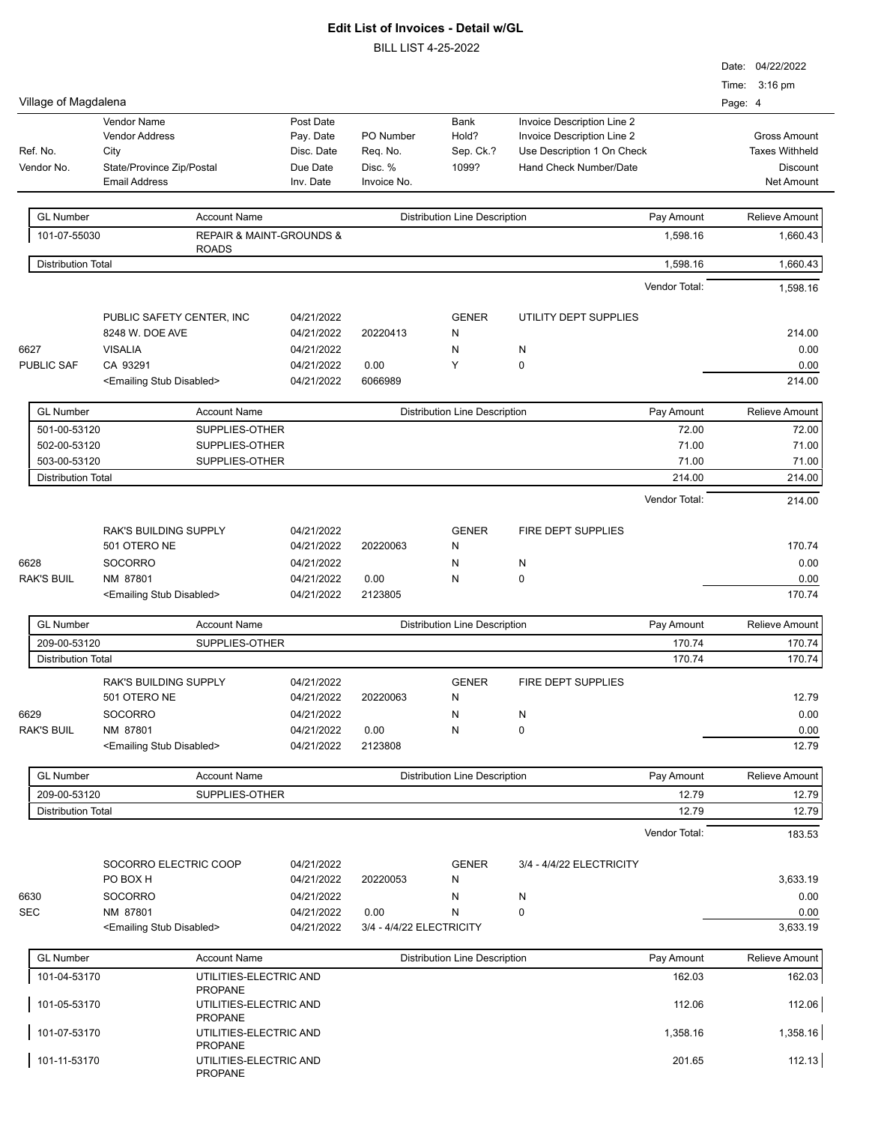|                                                          |                                                                                                   |                                                         |                                                               |                                                    |                                            |                                                                                                                  |                | Date: 04/22/2022                                                              |
|----------------------------------------------------------|---------------------------------------------------------------------------------------------------|---------------------------------------------------------|---------------------------------------------------------------|----------------------------------------------------|--------------------------------------------|------------------------------------------------------------------------------------------------------------------|----------------|-------------------------------------------------------------------------------|
| Village of Magdalena                                     |                                                                                                   |                                                         |                                                               |                                                    |                                            |                                                                                                                  |                | Time: 3:16 pm<br>Page: 4                                                      |
| Ref. No.<br>Vendor No.                                   | <b>Vendor Name</b><br>Vendor Address<br>City<br>State/Province Zip/Postal<br><b>Email Address</b> |                                                         | Post Date<br>Pay. Date<br>Disc. Date<br>Due Date<br>Inv. Date | PO Number<br>Req. No.<br>Disc. %<br>Invoice No.    | <b>Bank</b><br>Hold?<br>Sep. Ck.?<br>1099? | Invoice Description Line 2<br>Invoice Description Line 2<br>Use Description 1 On Check<br>Hand Check Number/Date |                | <b>Gross Amount</b><br><b>Taxes Withheld</b><br><b>Discount</b><br>Net Amount |
| <b>GL Number</b>                                         |                                                                                                   | <b>Account Name</b>                                     |                                                               |                                                    | <b>Distribution Line Description</b>       | Pay Amount                                                                                                       |                | Relieve Amount                                                                |
| 101-07-55030                                             |                                                                                                   | <b>REPAIR &amp; MAINT-GROUNDS &amp;</b><br><b>ROADS</b> |                                                               |                                                    |                                            |                                                                                                                  | 1,598.16       | 1,660.43                                                                      |
| <b>Distribution Total</b>                                |                                                                                                   |                                                         |                                                               |                                                    |                                            |                                                                                                                  | 1,598.16       | 1,660.43                                                                      |
|                                                          |                                                                                                   |                                                         |                                                               |                                                    |                                            | Vendor Total:                                                                                                    |                | 1,598.16                                                                      |
|                                                          | PUBLIC SAFETY CENTER, INC<br>8248 W. DOE AVE                                                      |                                                         | 04/21/2022<br>04/21/2022                                      | 20220413                                           | <b>GENER</b><br>N                          | UTILITY DEPT SUPPLIES                                                                                            |                | 214.00                                                                        |
| 6627                                                     | <b>VISALIA</b>                                                                                    |                                                         | 04/21/2022                                                    |                                                    | N                                          | N                                                                                                                |                | 0.00                                                                          |
| PUBLIC SAF                                               | CA 93291                                                                                          |                                                         | 04/21/2022                                                    | 0.00                                               | Y                                          | $\mathbf 0$                                                                                                      |                | 0.00                                                                          |
|                                                          | <emailing disabled="" stub=""></emailing>                                                         |                                                         | 04/21/2022                                                    | 6066989                                            |                                            |                                                                                                                  |                | 214.00                                                                        |
| <b>GL Number</b>                                         |                                                                                                   | <b>Account Name</b>                                     |                                                               |                                                    | <b>Distribution Line Description</b>       | Pay Amount                                                                                                       |                | <b>Relieve Amount</b>                                                         |
| 501-00-53120                                             |                                                                                                   | SUPPLIES-OTHER                                          |                                                               |                                                    |                                            |                                                                                                                  | 72.00          | 72.00                                                                         |
| 502-00-53120<br>503-00-53120                             |                                                                                                   | SUPPLIES-OTHER<br>SUPPLIES-OTHER                        |                                                               |                                                    |                                            |                                                                                                                  | 71.00<br>71.00 | 71.00<br>71.00                                                                |
| <b>Distribution Total</b>                                |                                                                                                   |                                                         |                                                               |                                                    |                                            |                                                                                                                  | 214.00         | 214.00                                                                        |
|                                                          |                                                                                                   |                                                         |                                                               |                                                    |                                            | Vendor Total:                                                                                                    |                | 214.00                                                                        |
|                                                          | <b>RAK'S BUILDING SUPPLY</b><br>501 OTERO NE                                                      |                                                         | 04/21/2022<br>04/21/2022                                      | 20220063                                           | <b>GENER</b><br>N                          | <b>FIRE DEPT SUPPLIES</b>                                                                                        |                | 170.74                                                                        |
| 6628                                                     | <b>SOCORRO</b>                                                                                    |                                                         | 04/21/2022                                                    |                                                    | N                                          | N                                                                                                                |                | 0.00                                                                          |
| <b>RAK'S BUIL</b>                                        | NM 87801                                                                                          |                                                         | 04/21/2022                                                    | 0.00                                               | N                                          | $\pmb{0}$                                                                                                        |                | 0.00                                                                          |
|                                                          | <emailing disabled="" stub=""></emailing>                                                         |                                                         | 04/21/2022                                                    | 2123805                                            |                                            |                                                                                                                  |                | 170.74                                                                        |
| <b>GL Number</b>                                         |                                                                                                   | <b>Account Name</b>                                     |                                                               |                                                    | <b>Distribution Line Description</b>       | Pay Amount                                                                                                       |                | Relieve Amount                                                                |
| 209-00-53120<br>SUPPLIES-OTHER                           |                                                                                                   |                                                         |                                                               |                                                    | 170.74                                     | 170.74                                                                                                           |                |                                                                               |
| <b>Distribution Total</b>                                |                                                                                                   |                                                         |                                                               |                                                    |                                            |                                                                                                                  | 170.74         | 170.74                                                                        |
|                                                          | <b>RAK'S BUILDING SUPPLY</b><br>501 OTERO NE                                                      |                                                         | 04/21/2022<br>04/21/2022                                      | 20220063                                           | <b>GENER</b><br>N                          | FIRE DEPT SUPPLIES                                                                                               |                | 12.79                                                                         |
| 6629<br><b>RAK'S BUIL</b>                                | <b>SOCORRO</b>                                                                                    |                                                         | 04/21/2022<br>04/21/2022                                      | 0.00                                               | N<br>N                                     | N<br>0                                                                                                           |                | 0.00<br>0.00                                                                  |
|                                                          | NM 87801<br><emailing disabled="" stub=""></emailing>                                             |                                                         | 04/21/2022                                                    | 2123808                                            |                                            |                                                                                                                  |                | 12.79                                                                         |
| <b>GL Number</b>                                         |                                                                                                   | <b>Account Name</b>                                     |                                                               | <b>Distribution Line Description</b><br>Pay Amount |                                            |                                                                                                                  |                | <b>Relieve Amount</b>                                                         |
| 209-00-53120                                             |                                                                                                   | SUPPLIES-OTHER                                          |                                                               |                                                    |                                            |                                                                                                                  | 12.79          | 12.79                                                                         |
| <b>Distribution Total</b>                                |                                                                                                   |                                                         |                                                               |                                                    |                                            |                                                                                                                  | 12.79          | 12.79                                                                         |
|                                                          |                                                                                                   |                                                         |                                                               |                                                    |                                            | Vendor Total:                                                                                                    |                | 183.53                                                                        |
|                                                          | SOCORRO ELECTRIC COOP<br>PO BOX H                                                                 |                                                         | 04/21/2022<br>04/21/2022                                      | 20220053                                           | <b>GENER</b><br>N                          | 3/4 - 4/4/22 ELECTRICITY                                                                                         |                | 3,633.19                                                                      |
| 6630                                                     | <b>SOCORRO</b>                                                                                    |                                                         | 04/21/2022                                                    |                                                    | N                                          | N                                                                                                                |                | 0.00                                                                          |
| <b>SEC</b>                                               | NM 87801                                                                                          |                                                         | 04/21/2022                                                    | 0.00                                               | Ν                                          | $\pmb{0}$                                                                                                        |                | 0.00                                                                          |
|                                                          | <emailing disabled="" stub=""></emailing>                                                         |                                                         | 04/21/2022                                                    | 3/4 - 4/4/22 ELECTRICITY                           |                                            |                                                                                                                  |                | 3,633.19                                                                      |
| <b>GL Number</b>                                         |                                                                                                   | <b>Account Name</b>                                     |                                                               |                                                    | <b>Distribution Line Description</b>       | Pay Amount                                                                                                       |                | Relieve Amount                                                                |
| 101-04-53170                                             |                                                                                                   | UTILITIES-ELECTRIC AND<br><b>PROPANE</b>                |                                                               |                                                    |                                            |                                                                                                                  | 162.03         | 162.03                                                                        |
| 101-05-53170                                             |                                                                                                   | UTILITIES-ELECTRIC AND<br><b>PROPANE</b>                |                                                               |                                                    |                                            |                                                                                                                  | 112.06         | 112.06                                                                        |
| 101-07-53170<br>UTILITIES-ELECTRIC AND<br><b>PROPANE</b> |                                                                                                   |                                                         |                                                               |                                                    | 1,358.16                                   | 1,358.16                                                                                                         |                |                                                                               |
| 101-11-53170                                             |                                                                                                   | UTILITIES-ELECTRIC AND<br><b>PROPANE</b>                |                                                               |                                                    |                                            |                                                                                                                  | 201.65         | 112.13                                                                        |